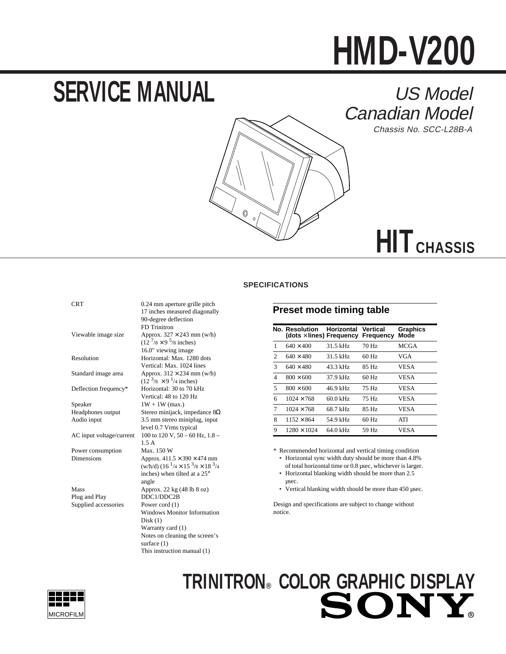# **HMD-V200**

# **SERVICE MANUAL**



Chassis No. SCC-L28B-A



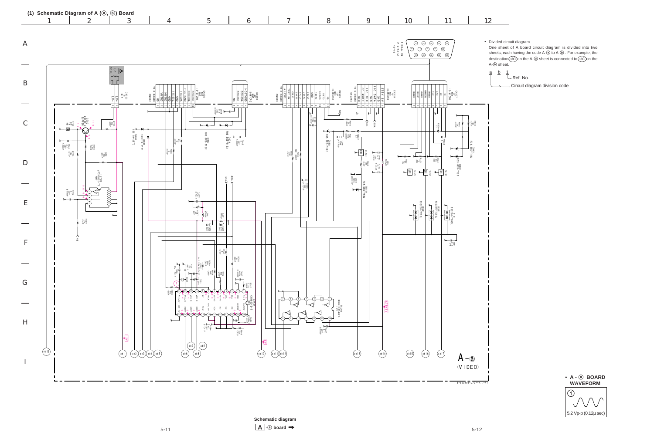$\blacksquare$   $\blacksquare$   $\blacksquare$   $\blacksquare$   $\blacksquare$   $\blacksquare$   $\blacksquare$   $\blacksquare$   $\blacksquare$   $\blacksquare$   $\blacksquare$   $\blacksquare$   $\blacksquare$   $\blacksquare$   $\blacksquare$   $\blacksquare$   $\blacksquare$   $\blacksquare$   $\blacksquare$   $\blacksquare$   $\blacksquare$   $\blacksquare$   $\blacksquare$   $\blacksquare$   $\blacksquare$   $\blacksquare$   $\blacksquare$   $\blacksquare$   $\blacksquare$   $\blacksquare$   $\blacksquare$   $\blacks$  $\mathsf{A}$   $\vdash$   $\circledcirc$  board  $\Rightarrow$ **Schematic diagram**

• Divided circuit diagram One sheet of A board circuit diagram is divided into two sheets, each having the code A-@ to A- $\overline{0}$ . For example, the destination  $\widehat{ab1}$  on the A-@ sheet is connected to  $\widehat{ab1}$  on the

L Ref. No.



Circuit diagram division code

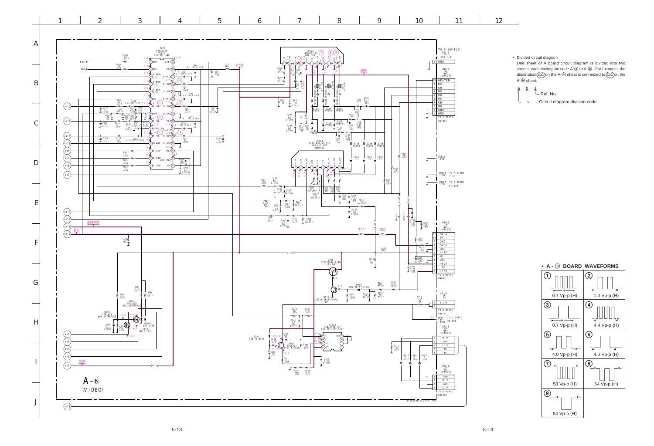One sheet of A board circuit diagram is divided into two sheets, each having the code A-@ to A-® . For example, the destination(ab1)on the A-@ sheet is connected to(ab1)on the A- $\circledcirc$  sheet.



 $\frac{a}{b}$  $\frac{1}{L}$  Ref. No. Circuit diagram division code

• Divided circuit diagram

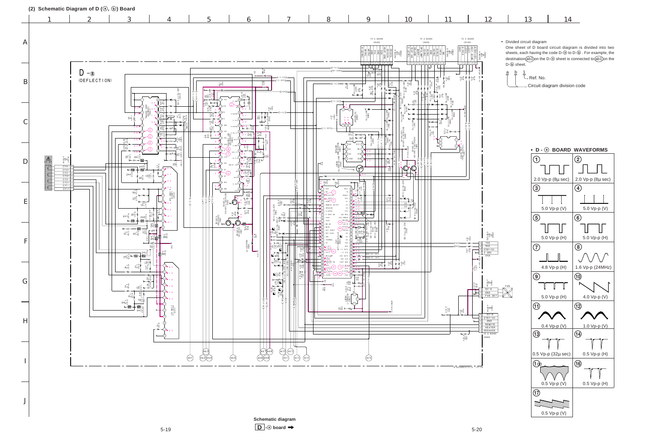J

$$
\begin{array}{c|c} 13 & 14 \end{array}
$$



One sheet of D board circuit diagram is divided into two sheets, each having the code D-③ to D-⑤ . For example, the destination(ab1)on the D-@ sheet is connected to(ab1)on the D- $\textcircled{\scriptsize{b}}$  sheet.

 $\frac{a}{r}$   $\frac{b}{r}$  $\overline{\mathcal{L}}$  Ref. No. Circuit diagram division code





• Divided circuit diagram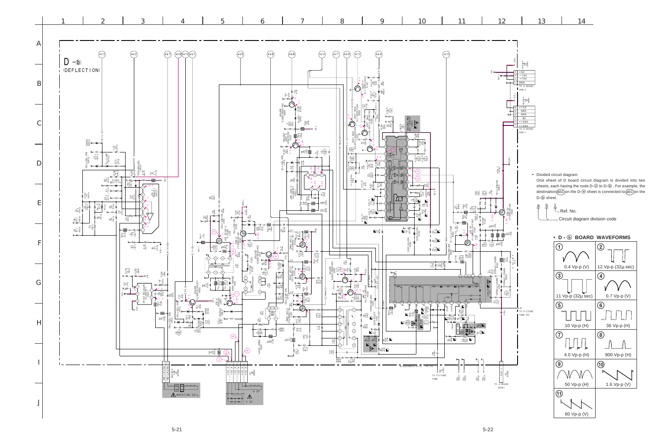



• Divided circuit diagram One sheet of D board circuit diagram is divided into two sheets, each having the code D-@ to D-® . For example, the destination(ab1)on the D-@ sheet is connected to(ab1)on the D-b sheet.

Circuit diagram division code

 $\frac{1}{L}$  Ref. No.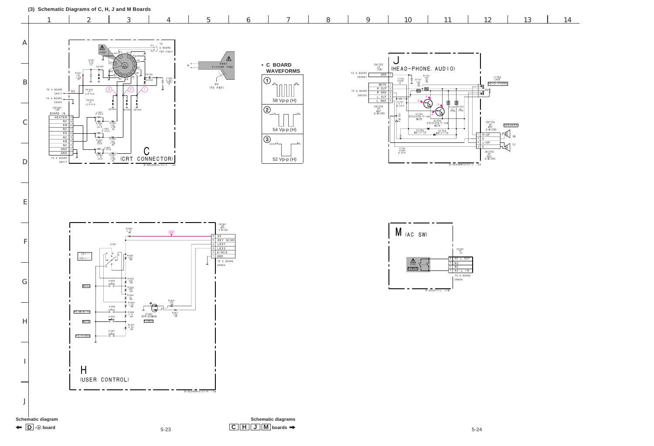$\mathbf{C} \parallel \mathbf{H} \parallel \mathbf{J} \parallel \mathbf{M}$  boards  $\rightarrow$  5-24 **Schematic diagrams**





 $\leftarrow$   $\boxed{\phantom{0}}$   $\rightarrow$   $\boxed{\phantom{0}}$  board

F

G

H

I

- 1

J

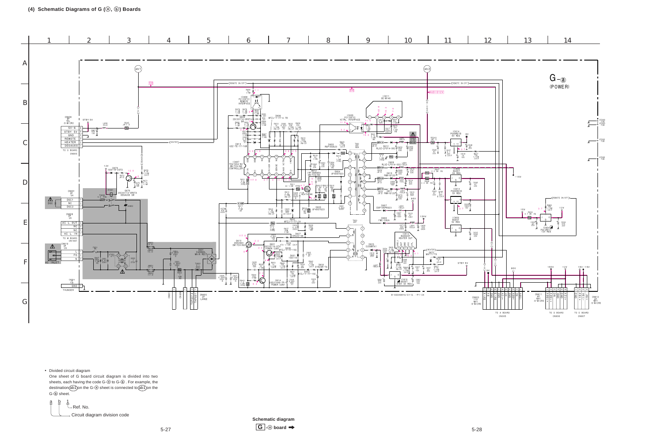

One sheet of G board circuit diagram is divided into two sheets, each having the code G-@ to G- $\textcircled{\tiny 0}$  . For example, the  $\det(\mathsf{a} \in \mathsf{a})$  on the G- $\circledcirc$  sheet is connected to  $\det(\mathsf{a} \in \mathsf{a})$  the G- $\overline{6}$  sheet.

• Divided circuit diagram



 $\overline{\mathbf{S}}$ -27  $\overline{\mathbf{S}}$  5-28 **Schematic diagram**  $\boxed{G}$  -a board  $\rightarrow$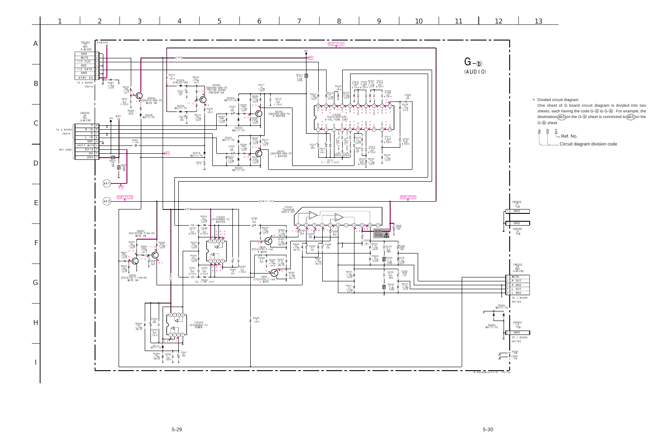

|                                                        |                                                                                                                                                                                     | · Divided circuit diagram<br>G- $\circledb$ sheet.<br>b<br><u>а</u> | One sheet of G board circuit diagram is divided into two<br>sheets, each having the code G-@ to G-®. For example, the<br>destination(ab1)on the G-@ sheet is connected to(ab1)on the<br>1 |                               |  |
|--------------------------------------------------------|-------------------------------------------------------------------------------------------------------------------------------------------------------------------------------------|---------------------------------------------------------------------|-------------------------------------------------------------------------------------------------------------------------------------------------------------------------------------------|-------------------------------|--|
|                                                        |                                                                                                                                                                                     |                                                                     | - Ref. No.                                                                                                                                                                                | Circuit diagram division code |  |
| 1<br>$\ddagger$                                        | $\begin{array}{r} \texttt{CN5605} \\ \texttt{1P} \\ \texttt{:TUB} \end{array}$<br>GND<br>GND<br>$\begin{array}{c} \texttt{CN} \, 5606 \\ \texttt{1P} \\ \texttt{: TUB} \end{array}$ |                                                                     |                                                                                                                                                                                           |                               |  |
| $\ddagger$<br>$\overline{\mathbf{c}}$<br>$\frac{3}{4}$ | CN5202<br>5P<br>:S-MICRO<br>MUTE<br>R OUT<br>R GND<br>L OUT<br>L GND<br>TO J BOARD<br>CN1703                                                                                        |                                                                     |                                                                                                                                                                                           |                               |  |
| X<br>$\overline{1}$<br>$\mathbf{I}$                    | ı<br>ı<br>$\frac{C N 5607}{10}$<br>: TUB<br>GND<br>TO J BOARD<br>CN1702                                                                                                             |                                                                     |                                                                                                                                                                                           |                               |  |
| $\overline{24}$                                        | 1<br>J                                                                                                                                                                              |                                                                     |                                                                                                                                                                                           |                               |  |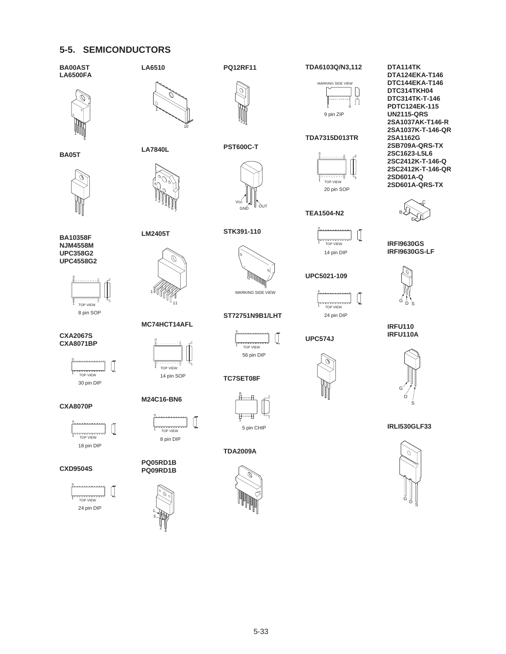## **5-5. SEMICONDUCTORS**





5 1









**CXA2067S CXA8071BP**







### **CXD9504S**





**LA7840L**

**LM2405T**

1

n

<sup>5</sup> <sup>6</sup> <sup>7</sup>  $\frac{1}{2}$   $\frac{1}{3}$   $\frac{1}{4}$ 

**MC74HCT14AFL**

TOP VIEW

TOP VIEW

Ű

8 pin DIP

14 pin SOP

**M24C16-BN6**

n

**PQ05RD1B PQ09RD1B**

1

2 3

4

11



**PST600C-T**

 $1234$ 

**PQ12RF11**

**STK391-110**



```
ST72751N9B1/LHT
```


**TC7SET08F**





**TDA2009A**







#### **TDA7315D013TR**



**TEA1504-N2**



**UPC5021-109**

n Ű TOP VIEW 24 pin DIP

**UPC574J**



**DTA114TK DTA124EKA-T146 DTC144EKA-T146 DTC314TKH04 DTC314TK-T-146 PDTC124EK-115 UN2115-QRS 2SA1037AK-T146-R 2SA1037K-T-146-QR 2SA1162G 2SB709A-QRS-TX 2SC1623-L5L6 2SC2412K-T-146-Q 2SC2412K-T-146-QR 2SD601A-Q 2SD601A-QRS-TX**



**IRFI9630GS IRFI9630GS-LF**



**IRFU110 IRFU110A**



**IRLI530GLF33**